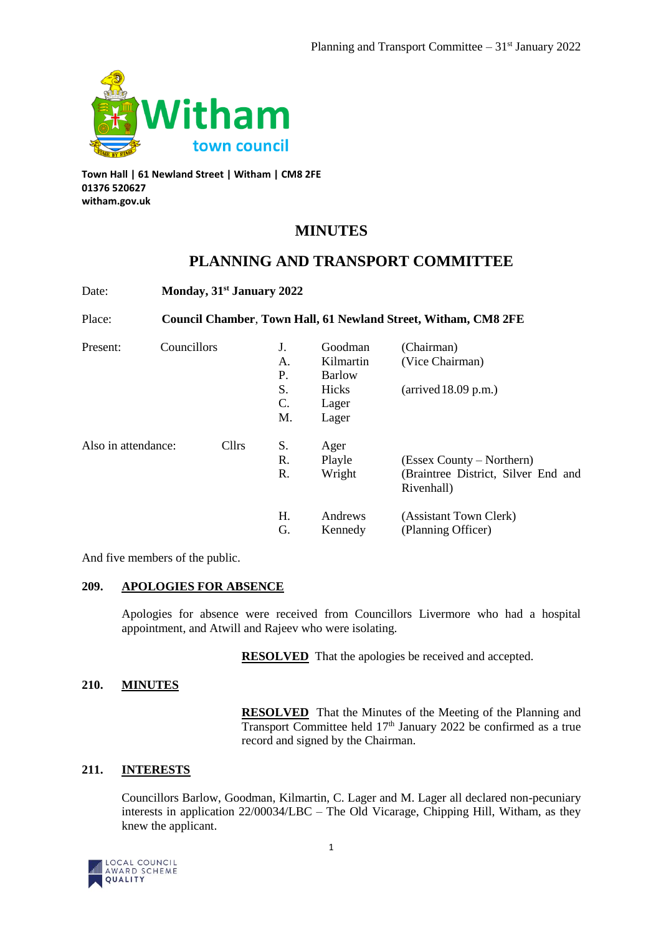

**Town Hall | 61 Newland Street | Witham | CM8 2FE 01376 520627 witham.gov.uk**

# **MINUTES**

# **PLANNING AND TRANSPORT COMMITTEE**

| Date:                        |                                                                | Monday, 31 <sup>st</sup> January 2022 |    |               |                                                   |  |  |
|------------------------------|----------------------------------------------------------------|---------------------------------------|----|---------------|---------------------------------------------------|--|--|
| Place:                       | Council Chamber, Town Hall, 61 Newland Street, Witham, CM8 2FE |                                       |    |               |                                                   |  |  |
| Present:                     | Councillors                                                    |                                       | J. | Goodman       | (Chairman)                                        |  |  |
|                              |                                                                |                                       | А. | Kilmartin     | (Vice Chairman)                                   |  |  |
|                              |                                                                |                                       | Р. | <b>Barlow</b> |                                                   |  |  |
|                              |                                                                |                                       | S. | Hicks         | $\ar{i}$ (arrived 18.09 p.m.)                     |  |  |
|                              |                                                                |                                       | C. | Lager         |                                                   |  |  |
|                              |                                                                |                                       | M. | Lager         |                                                   |  |  |
| Cllrs<br>Also in attendance: |                                                                |                                       | S. | Ager          |                                                   |  |  |
|                              |                                                                |                                       | R. | Playle        | (Essex County – Northern)                         |  |  |
|                              |                                                                |                                       | R. | Wright        | (Braintree District, Silver End and<br>Rivenhall) |  |  |
|                              |                                                                |                                       | Η. | Andrews       | (Assistant Town Clerk)                            |  |  |
|                              |                                                                |                                       | G. | Kennedy       | (Planning Officer)                                |  |  |

And five members of the public.

# **209. APOLOGIES FOR ABSENCE**

Apologies for absence were received from Councillors Livermore who had a hospital appointment, and Atwill and Rajeev who were isolating.

**RESOLVED** That the apologies be received and accepted.

# **210. MINUTES**

**RESOLVED** That the Minutes of the Meeting of the Planning and Transport Committee held 17<sup>th</sup> January 2022 be confirmed as a true record and signed by the Chairman.

# **211. INTERESTS**

Councillors Barlow, Goodman, Kilmartin, C. Lager and M. Lager all declared non-pecuniary interests in application 22/00034/LBC – The Old Vicarage, Chipping Hill, Witham, as they knew the applicant.

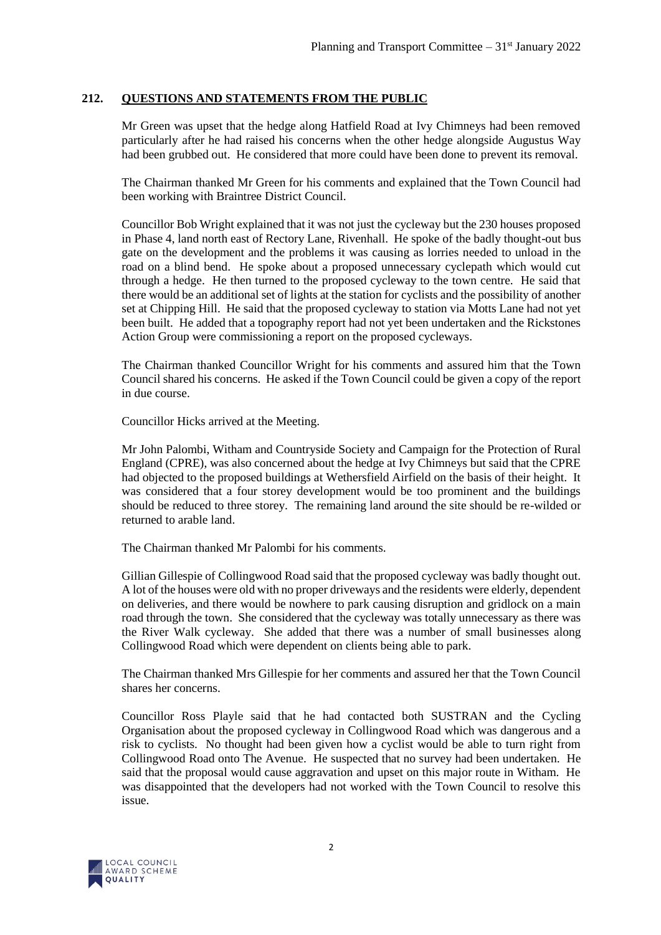# **212. QUESTIONS AND STATEMENTS FROM THE PUBLIC**

Mr Green was upset that the hedge along Hatfield Road at Ivy Chimneys had been removed particularly after he had raised his concerns when the other hedge alongside Augustus Way had been grubbed out. He considered that more could have been done to prevent its removal.

The Chairman thanked Mr Green for his comments and explained that the Town Council had been working with Braintree District Council.

Councillor Bob Wright explained that it was not just the cycleway but the 230 houses proposed in Phase 4, land north east of Rectory Lane, Rivenhall. He spoke of the badly thought-out bus gate on the development and the problems it was causing as lorries needed to unload in the road on a blind bend. He spoke about a proposed unnecessary cyclepath which would cut through a hedge. He then turned to the proposed cycleway to the town centre. He said that there would be an additional set of lights at the station for cyclists and the possibility of another set at Chipping Hill. He said that the proposed cycleway to station via Motts Lane had not yet been built. He added that a topography report had not yet been undertaken and the Rickstones Action Group were commissioning a report on the proposed cycleways.

The Chairman thanked Councillor Wright for his comments and assured him that the Town Council shared his concerns. He asked if the Town Council could be given a copy of the report in due course.

Councillor Hicks arrived at the Meeting.

Mr John Palombi, Witham and Countryside Society and Campaign for the Protection of Rural England (CPRE), was also concerned about the hedge at Ivy Chimneys but said that the CPRE had objected to the proposed buildings at Wethersfield Airfield on the basis of their height. It was considered that a four storey development would be too prominent and the buildings should be reduced to three storey. The remaining land around the site should be re-wilded or returned to arable land.

The Chairman thanked Mr Palombi for his comments.

Gillian Gillespie of Collingwood Road said that the proposed cycleway was badly thought out. A lot of the houses were old with no proper driveways and the residents were elderly, dependent on deliveries, and there would be nowhere to park causing disruption and gridlock on a main road through the town. She considered that the cycleway was totally unnecessary as there was the River Walk cycleway. She added that there was a number of small businesses along Collingwood Road which were dependent on clients being able to park.

The Chairman thanked Mrs Gillespie for her comments and assured her that the Town Council shares her concerns.

Councillor Ross Playle said that he had contacted both SUSTRAN and the Cycling Organisation about the proposed cycleway in Collingwood Road which was dangerous and a risk to cyclists. No thought had been given how a cyclist would be able to turn right from Collingwood Road onto The Avenue. He suspected that no survey had been undertaken. He said that the proposal would cause aggravation and upset on this major route in Witham. He was disappointed that the developers had not worked with the Town Council to resolve this issue.

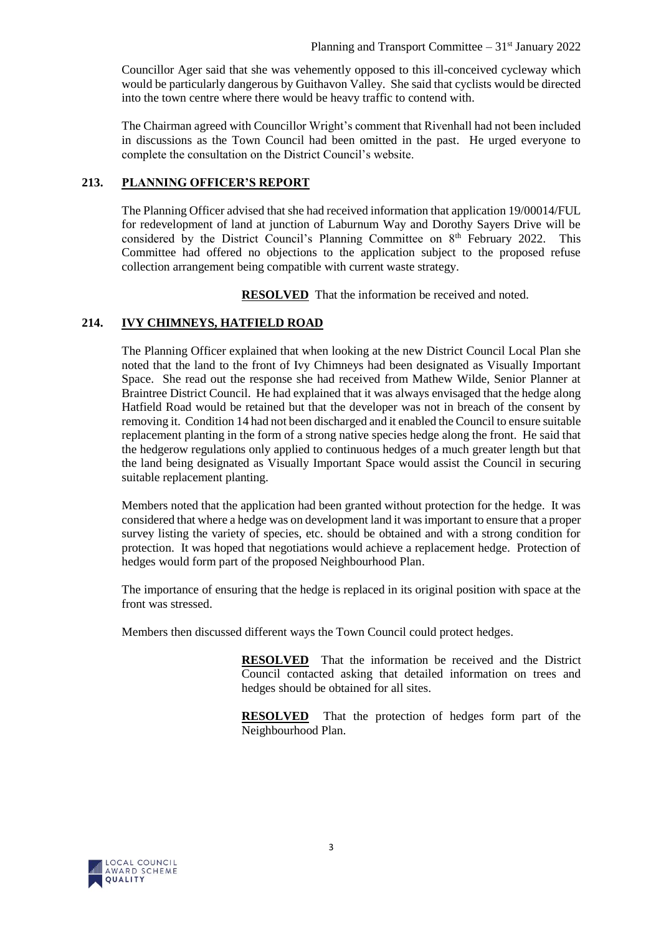Councillor Ager said that she was vehemently opposed to this ill-conceived cycleway which would be particularly dangerous by Guithavon Valley. She said that cyclists would be directed into the town centre where there would be heavy traffic to contend with.

The Chairman agreed with Councillor Wright's comment that Rivenhall had not been included in discussions as the Town Council had been omitted in the past. He urged everyone to complete the consultation on the District Council's website.

# **213. PLANNING OFFICER'S REPORT**

The Planning Officer advised that she had received information that application 19/00014/FUL for redevelopment of land at junction of Laburnum Way and Dorothy Sayers Drive will be considered by the District Council's Planning Committee on 8<sup>th</sup> February 2022. This Committee had offered no objections to the application subject to the proposed refuse collection arrangement being compatible with current waste strategy.

**RESOLVED** That the information be received and noted.

# **214. IVY CHIMNEYS, HATFIELD ROAD**

The Planning Officer explained that when looking at the new District Council Local Plan she noted that the land to the front of Ivy Chimneys had been designated as Visually Important Space. She read out the response she had received from Mathew Wilde, Senior Planner at Braintree District Council. He had explained that it was always envisaged that the hedge along Hatfield Road would be retained but that the developer was not in breach of the consent by removing it. Condition 14 had not been discharged and it enabled the Council to ensure suitable replacement planting in the form of a strong native species hedge along the front. He said that the hedgerow regulations only applied to continuous hedges of a much greater length but that the land being designated as Visually Important Space would assist the Council in securing suitable replacement planting.

Members noted that the application had been granted without protection for the hedge. It was considered that where a hedge was on development land it was important to ensure that a proper survey listing the variety of species, etc. should be obtained and with a strong condition for protection. It was hoped that negotiations would achieve a replacement hedge. Protection of hedges would form part of the proposed Neighbourhood Plan.

The importance of ensuring that the hedge is replaced in its original position with space at the front was stressed.

Members then discussed different ways the Town Council could protect hedges.

**RESOLVED** That the information be received and the District Council contacted asking that detailed information on trees and hedges should be obtained for all sites.

**RESOLVED** That the protection of hedges form part of the Neighbourhood Plan.

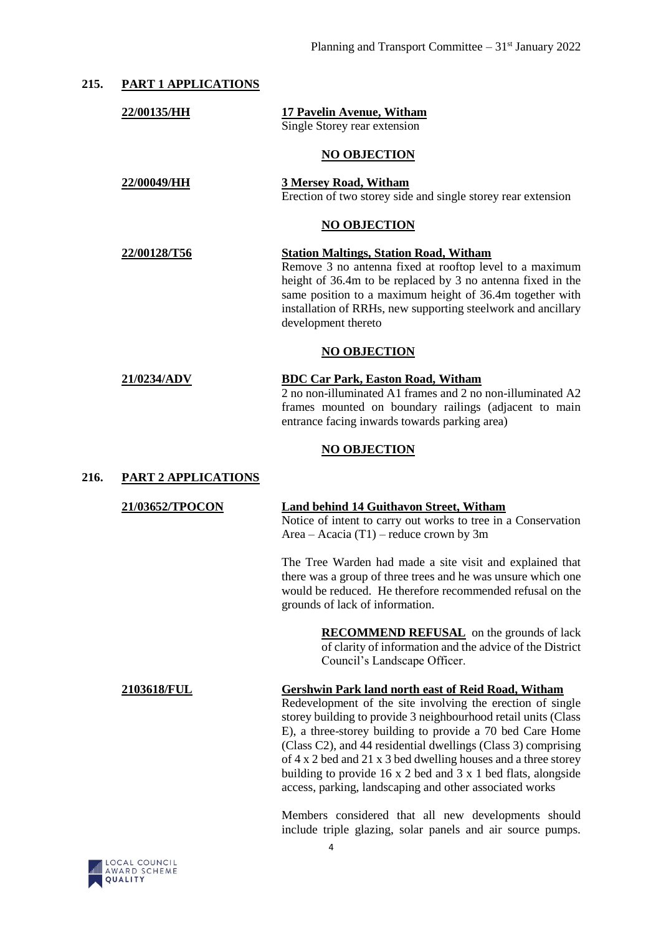| 215. | <b>PART 1 APPLICATIONS</b> |                                                                                                                                                                                                                                                                                                                                                                                                                                                                                                                              |  |  |  |  |
|------|----------------------------|------------------------------------------------------------------------------------------------------------------------------------------------------------------------------------------------------------------------------------------------------------------------------------------------------------------------------------------------------------------------------------------------------------------------------------------------------------------------------------------------------------------------------|--|--|--|--|
|      | 22/00135/HH                | <b>17 Pavelin Avenue, Witham</b><br>Single Storey rear extension                                                                                                                                                                                                                                                                                                                                                                                                                                                             |  |  |  |  |
|      |                            | <b>NO OBJECTION</b>                                                                                                                                                                                                                                                                                                                                                                                                                                                                                                          |  |  |  |  |
|      | 22/00049/HH                | 3 Mersey Road, Witham<br>Erection of two storey side and single storey rear extension                                                                                                                                                                                                                                                                                                                                                                                                                                        |  |  |  |  |
|      | <b>NO OBJECTION</b>        |                                                                                                                                                                                                                                                                                                                                                                                                                                                                                                                              |  |  |  |  |
|      | 22/00128/T56               | <b>Station Maltings, Station Road, Witham</b><br>Remove 3 no antenna fixed at rooftop level to a maximum<br>height of 36.4m to be replaced by 3 no antenna fixed in the<br>same position to a maximum height of 36.4m together with<br>installation of RRHs, new supporting steelwork and ancillary<br>development thereto                                                                                                                                                                                                   |  |  |  |  |
|      | <b>NO OBJECTION</b>        |                                                                                                                                                                                                                                                                                                                                                                                                                                                                                                                              |  |  |  |  |
|      | 21/0234/ADV                | <b>BDC Car Park, Easton Road, Witham</b><br>2 no non-illuminated A1 frames and 2 no non-illuminated A2<br>frames mounted on boundary railings (adjacent to main<br>entrance facing inwards towards parking area)                                                                                                                                                                                                                                                                                                             |  |  |  |  |
|      |                            | <b>NO OBJECTION</b>                                                                                                                                                                                                                                                                                                                                                                                                                                                                                                          |  |  |  |  |
| 216. | <b>PART 2 APPLICATIONS</b> |                                                                                                                                                                                                                                                                                                                                                                                                                                                                                                                              |  |  |  |  |
|      | 21/03652/TPOCON            | <b>Land behind 14 Guithavon Street, Witham</b><br>Notice of intent to carry out works to tree in a Conservation<br>Area – Acacia (T1) – reduce crown by 3m                                                                                                                                                                                                                                                                                                                                                                   |  |  |  |  |
|      |                            | The Tree Warden had made a site visit and explained that<br>there was a group of three trees and he was unsure which one<br>would be reduced. He therefore recommended refusal on the<br>grounds of lack of information.                                                                                                                                                                                                                                                                                                     |  |  |  |  |
|      |                            | <b>RECOMMEND REFUSAL</b> on the grounds of lack<br>of clarity of information and the advice of the District<br>Council's Landscape Officer.                                                                                                                                                                                                                                                                                                                                                                                  |  |  |  |  |
|      | 2103618/FUL                | Gershwin Park land north east of Reid Road, Witham<br>Redevelopment of the site involving the erection of single<br>storey building to provide 3 neighbourhood retail units (Class<br>E), a three-storey building to provide a 70 bed Care Home<br>(Class C2), and 44 residential dwellings (Class 3) comprising<br>of 4 x 2 bed and 21 x 3 bed dwelling houses and a three storey<br>building to provide $16 \times 2$ bed and $3 \times 1$ bed flats, alongside<br>access, parking, landscaping and other associated works |  |  |  |  |

Members considered that all new developments should include triple glazing, solar panels and air source pumps.

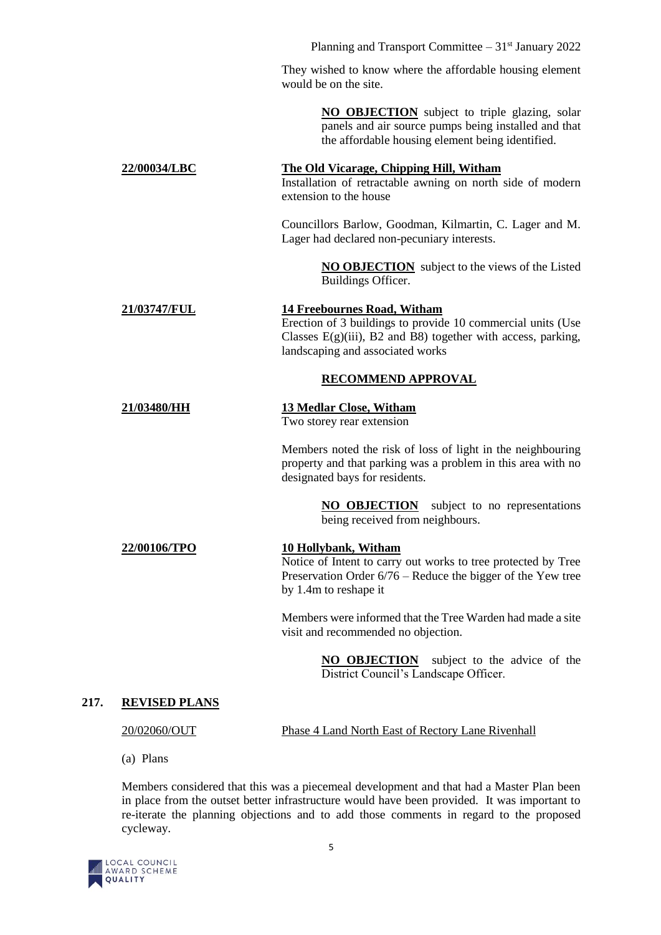Planning and Transport Committee  $-31<sup>st</sup>$  January 2022 They wished to know where the affordable housing element would be on the site. **NO OBJECTION** subject to triple glazing, solar panels and air source pumps being installed and that the affordable housing element being identified. **22/00034/LBC The Old Vicarage, Chipping Hill, Witham** Installation of retractable awning on north side of modern extension to the house Councillors Barlow, Goodman, Kilmartin, C. Lager and M. Lager had declared non-pecuniary interests. **NO OBJECTION** subject to the views of the Listed Buildings Officer. **21/03747/FUL 14 Freebournes Road, Witham** Erection of 3 buildings to provide 10 commercial units (Use Classes  $E(g)(iii)$ , B2 and B8) together with access, parking, landscaping and associated works **RECOMMEND APPROVAL 21/03480/HH 13 Medlar Close, Witham** Two storey rear extension Members noted the risk of loss of light in the neighbouring property and that parking was a problem in this area with no designated bays for residents. **NO OBJECTION** subject to no representations being received from neighbours. **22/00106/TPO 10 Hollybank, Witham** Notice of Intent to carry out works to tree protected by Tree Preservation Order 6/76 – Reduce the bigger of the Yew tree by 1.4m to reshape it Members were informed that the Tree Warden had made a site visit and recommended no objection. **NO OBJECTION** subject to the advice of the District Council's Landscape Officer. **217. REVISED PLANS**

20/02060/OUT Phase 4 Land North East of Rectory Lane Rivenhall

(a) Plans

Members considered that this was a piecemeal development and that had a Master Plan been in place from the outset better infrastructure would have been provided. It was important to re-iterate the planning objections and to add those comments in regard to the proposed cycleway.

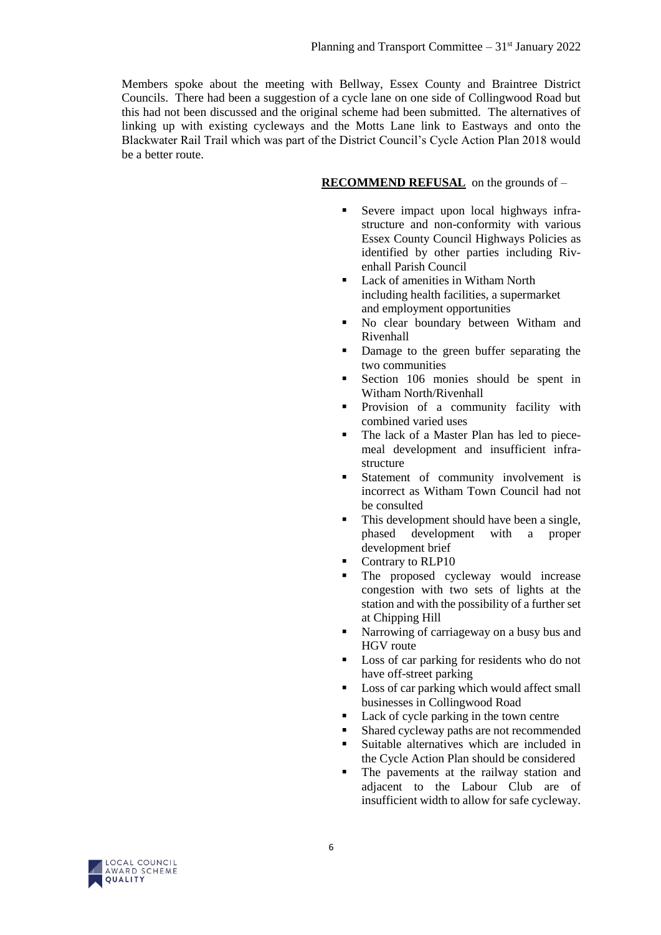Members spoke about the meeting with Bellway, Essex County and Braintree District Councils. There had been a suggestion of a cycle lane on one side of Collingwood Road but this had not been discussed and the original scheme had been submitted. The alternatives of linking up with existing cycleways and the Motts Lane link to Eastways and onto the Blackwater Rail Trail which was part of the District Council's Cycle Action Plan 2018 would be a better route.

#### **RECOMMEND REFUSAL** on the grounds of –

- Severe impact upon local highways infrastructure and non-conformity with various Essex County Council Highways Policies as identified by other parties including Rivenhall Parish Council
- Lack of amenities in Witham North including health facilities, a supermarket and employment opportunities
- No clear boundary between Witham and Rivenhall
- Damage to the green buffer separating the two communities
- Section 106 monies should be spent in Witham North/Rivenhall
- **Provision of a community facility with** combined varied uses
- The lack of a Master Plan has led to piecemeal development and insufficient infrastructure
- Statement of community involvement is incorrect as Witham Town Council had not be consulted
- This development should have been a single, phased development with a proper development brief
- Contrary to RLP10
- The proposed cycleway would increase congestion with two sets of lights at the station and with the possibility of a further set at Chipping Hill
- Narrowing of carriageway on a busy bus and HGV route
- Loss of car parking for residents who do not have off-street parking
- Loss of car parking which would affect small businesses in Collingwood Road
- Lack of cycle parking in the town centre
- Shared cycleway paths are not recommended
- Suitable alternatives which are included in the Cycle Action Plan should be considered
- The pavements at the railway station and adjacent to the Labour Club are of insufficient width to allow for safe cycleway.

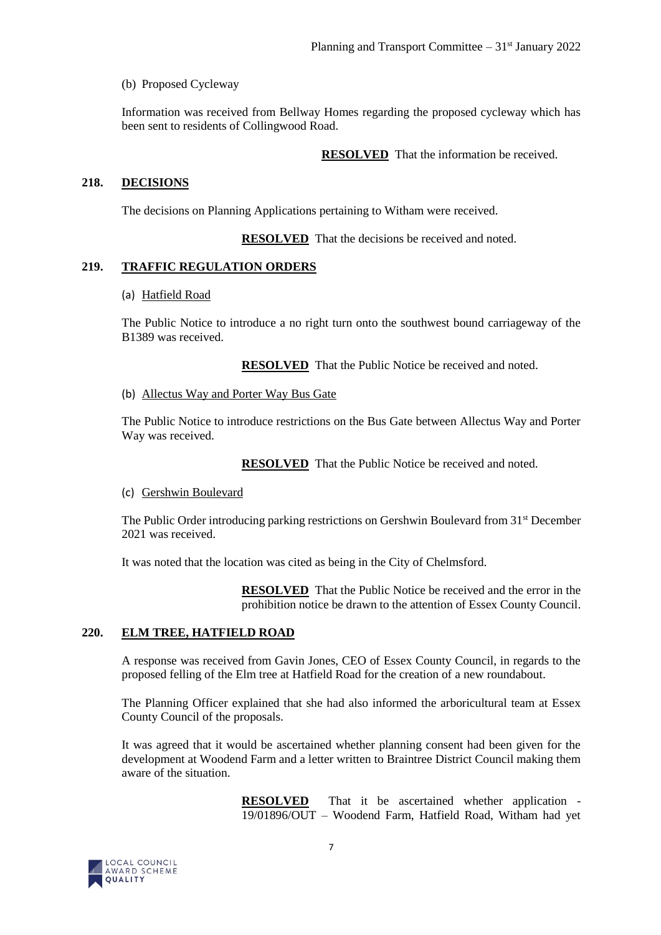(b) Proposed Cycleway

Information was received from Bellway Homes regarding the proposed cycleway which has been sent to residents of Collingwood Road.

**RESOLVED** That the information be received.

#### **218. DECISIONS**

The decisions on Planning Applications pertaining to Witham were received.

**RESOLVED** That the decisions be received and noted.

#### **219. TRAFFIC REGULATION ORDERS**

#### (a) Hatfield Road

The Public Notice to introduce a no right turn onto the southwest bound carriageway of the B1389 was received.

**RESOLVED** That the Public Notice be received and noted.

#### (b) Allectus Way and Porter Way Bus Gate

The Public Notice to introduce restrictions on the Bus Gate between Allectus Way and Porter Way was received.

**RESOLVED** That the Public Notice be received and noted.

#### (c) Gershwin Boulevard

The Public Order introducing parking restrictions on Gershwin Boulevard from 31st December 2021 was received.

It was noted that the location was cited as being in the City of Chelmsford.

**RESOLVED** That the Public Notice be received and the error in the prohibition notice be drawn to the attention of Essex County Council.

#### **220. ELM TREE, HATFIELD ROAD**

A response was received from Gavin Jones, CEO of Essex County Council, in regards to the proposed felling of the Elm tree at Hatfield Road for the creation of a new roundabout.

The Planning Officer explained that she had also informed the arboricultural team at Essex County Council of the proposals.

It was agreed that it would be ascertained whether planning consent had been given for the development at Woodend Farm and a letter written to Braintree District Council making them aware of the situation.

> **RESOLVED** That it be ascertained whether application - 19/01896/OUT – Woodend Farm, Hatfield Road, Witham had yet